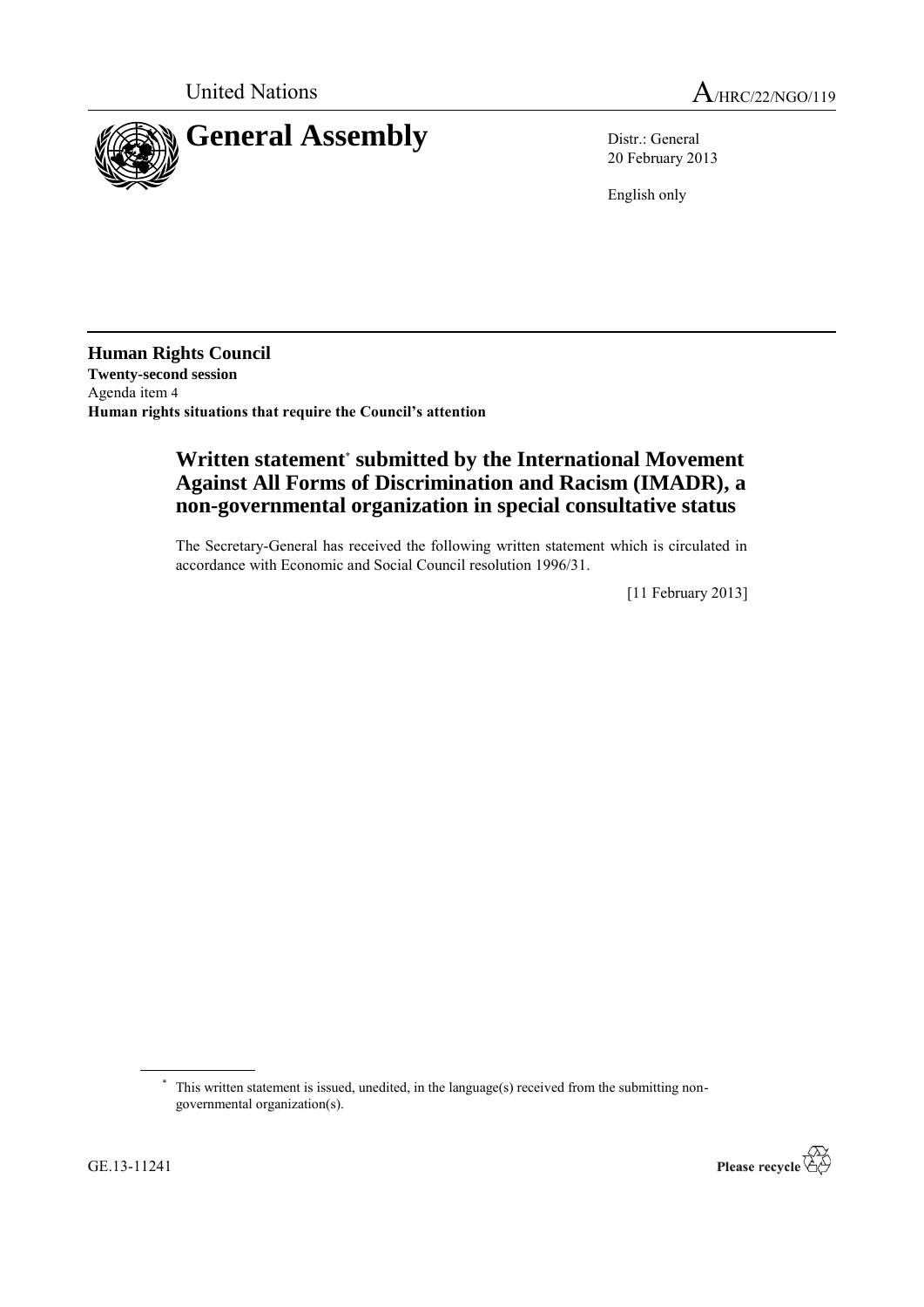

20 February 2013

English only

**Human Rights Council Twenty-second session** Agenda item 4 **Human rights situations that require the Council's attention**

# **Written statement**\* **submitted by the International Movement Against All Forms of Discrimination and Racism (IMADR), a non-governmental organization in special consultative status**

The Secretary-General has received the following written statement which is circulated in accordance with Economic and Social Council resolution 1996/31.

[11 February 2013]



<sup>\*</sup> This written statement is issued, unedited, in the language(s) received from the submitting nongovernmental organization(s).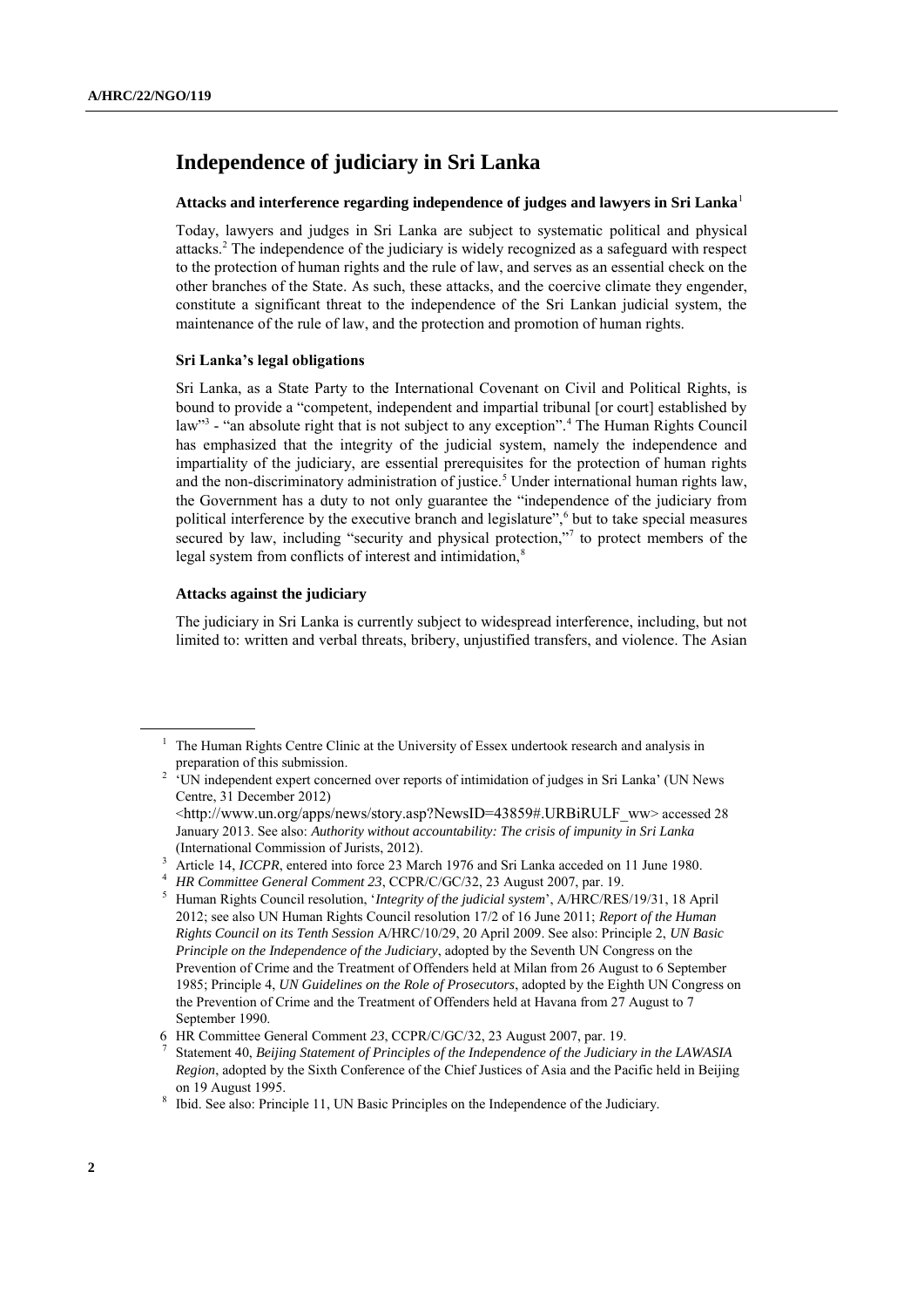## **Independence of judiciary in Sri Lanka**

## **Attacks and interference regarding independence of judges and lawyers in Sri Lanka**<sup>1</sup>

Today, lawyers and judges in Sri Lanka are subject to systematic political and physical attacks.<sup>2</sup> The independence of the judiciary is widely recognized as a safeguard with respect to the protection of human rights and the rule of law, and serves as an essential check on the other branches of the State. As such, these attacks, and the coercive climate they engender, constitute a significant threat to the independence of the Sri Lankan judicial system, the maintenance of the rule of law, and the protection and promotion of human rights.

## **Sri Lanka's legal obligations**

Sri Lanka, as a State Party to the International Covenant on Civil and Political Rights, is bound to provide a "competent, independent and impartial tribunal [or court] established by law<sup>3</sup> - "an absolute right that is not subject to any exception".<sup>4</sup> The Human Rights Council has emphasized that the integrity of the judicial system, namely the independence and impartiality of the judiciary, are essential prerequisites for the protection of human rights and the non-discriminatory administration of justice.<sup>5</sup> Under international human rights law, the Government has a duty to not only guarantee the "independence of the judiciary from political interference by the executive branch and legislature",<sup>6</sup> but to take special measures secured by law, including "security and physical protection,"<sup>7</sup> to protect members of the legal system from conflicts of interest and intimidation,<sup>8</sup>

## **Attacks against the judiciary**

The judiciary in Sri Lanka is currently subject to widespread interference, including, but not limited to: written and verbal threats, bribery, unjustified transfers, and violence. The Asian

<sup>1</sup> The Human Rights Centre Clinic at the University of Essex undertook research and analysis in preparation of this submission.

<sup>&</sup>lt;sup>2</sup> 'UN independent expert concerned over reports of intimidation of judges in Sri Lanka' (UN News Centre, 31 December 2012) <[http://www.un.org/apps/news/story.asp?NewsID=43859#.URBiRULF\\_ww](http://www.un.org/apps/news/story.asp?NewsID=43859#.URBiRULF_ww)> accessed 28 January 2013. See also: *Authority without accountability: The crisis of impunity in Sri Lanka*

<sup>(</sup>International Commission of Jurists, 2012).

<sup>&</sup>lt;sup>3</sup> Article 14, *ICCPR*, entered into force 23 March 1976 and Sri Lanka acceded on 11 June 1980.

<sup>4</sup> *HR Committee General Comment 23*, CCPR/C/GC/32, 23 August 2007, par. 19.

<sup>5</sup> Human Rights Council resolution, "*Integrity of the judicial system*", A/HRC/RES/19/31, 18 April 2012; see also UN Human Rights Council resolution 17/2 of 16 June 2011; *Report of the Human Rights Council on its Tenth Session* A/HRC/10/29, 20 April 2009. See also: Principle 2, *UN Basic Principle on the Independence of the Judiciary*, adopted by the Seventh UN Congress on the Prevention of Crime and the Treatment of Offenders held at Milan from 26 August to 6 September 1985; Principle 4, *UN Guidelines on the Role of Prosecutors*, adopted by the Eighth UN Congress on the Prevention of Crime and the Treatment of Offenders held at Havana from 27 August to 7 September 1990.

<sup>6</sup> HR Committee General Comment *23*, CCPR/C/GC/32, 23 August 2007, par. 19.

<sup>7</sup> Statement 40, *Beijing Statement of Principles of the Independence of the Judiciary in the LAWASIA Region*, adopted by the Sixth Conference of the Chief Justices of Asia and the Pacific held in Beijing on 19 August 1995.

<sup>&</sup>lt;sup>8</sup> Ibid. See also: Principle 11, UN Basic Principles on the Independence of the Judiciary.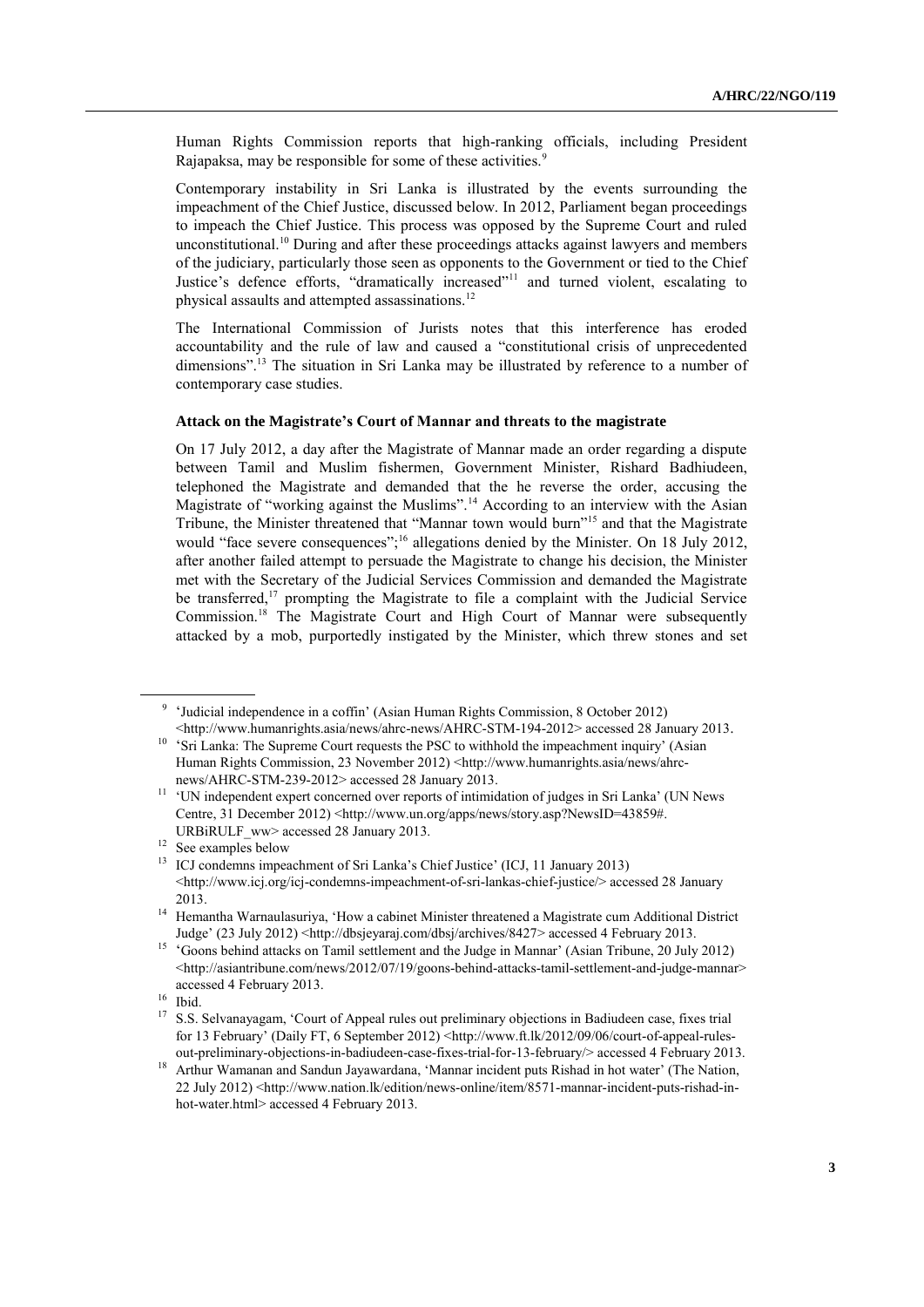Human Rights Commission reports that high-ranking officials, including President Rajapaksa, may be responsible for some of these activities.<sup>9</sup>

Contemporary instability in Sri Lanka is illustrated by the events surrounding the impeachment of the Chief Justice, discussed below. In 2012, Parliament began proceedings to impeach the Chief Justice. This process was opposed by the Supreme Court and ruled unconstitutional. <sup>10</sup> During and after these proceedings attacks against lawyers and members of the judiciary, particularly those seen as opponents to the Government or tied to the Chief Justice's defence efforts, "dramatically increased"<sup>11</sup> and turned violent, escalating to physical assaults and attempted assassinations.<sup>12</sup>

The International Commission of Jurists notes that this interference has eroded accountability and the rule of law and caused a "constitutional crisis of unprecedented dimensions".<sup>13</sup> The situation in Sri Lanka may be illustrated by reference to a number of contemporary case studies.

#### **Attack on the Magistrate's Court of Mannar and threats to the magistrate**

On 17 July 2012, a day after the Magistrate of Mannar made an order regarding a dispute between Tamil and Muslim fishermen, Government Minister, Rishard Badhiudeen, telephoned the Magistrate and demanded that the he reverse the order, accusing the Magistrate of "working against the Muslims".<sup>14</sup> According to an interview with the Asian Tribune, the Minister threatened that "Mannar town would burn"<sup>15</sup> and that the Magistrate would "face severe consequences";<sup>16</sup> allegations denied by the Minister. On 18 July 2012, after another failed attempt to persuade the Magistrate to change his decision, the Minister met with the Secretary of the Judicial Services Commission and demanded the Magistrate be transferred, $17$  prompting the Magistrate to file a complaint with the Judicial Service Commission.<sup>18</sup> The Magistrate Court and High Court of Mannar were subsequently attacked by a mob, purportedly instigated by the Minister, which threw stones and set

<sup>9</sup> "Judicial independence in a coffin" (Asian Human Rights Commission, 8 October 2012)  $\leq$ http://www.humanrights.asia/news/ahrc-news/AHRC-STM-194-2012> accessed 28 January 2013.

<sup>&</sup>lt;sup>10</sup> 'Sri Lanka: The Supreme Court requests the PSC to withhold the impeachment inquiry' (Asian Human Rights Commission, 23 November 2012) [<http://www.humanrights.asia/news/ahrc](http://www.humanrights.asia/news/ahrc-news/AHRC-STM-239-2012)[news/AHRC-STM-239-2012>](http://www.humanrights.asia/news/ahrc-news/AHRC-STM-239-2012) accessed 28 January 2013.

<sup>&</sup>lt;sup>11</sup> 'UN independent expert concerned over reports of intimidation of judges in Sri Lanka' (UN News Centre, 31 December 2012) [<http://www.un.org/apps/news/story.asp?NewsID=43859#.](http://www.un.org/apps/news/story.asp?NewsID=43859#.URBiRULF_ww) URBIRULF\_ww> accessed 28 January 2013.

<sup>&</sup>lt;sup>12</sup> See examples below

<sup>&</sup>lt;sup>13</sup> ICJ condemns impeachment of Sri Lanka's Chief Justice' (ICJ, 11 January 2013) [<http://www.icj.org/icj-condemns-impeachment-of-sri-lankas-chief-justice/>](http://www.icj.org/icj-condemns-impeachment-of-sri-lankas-chief-justice/) accessed 28 January 2013.

<sup>&</sup>lt;sup>14</sup> Hemantha Warnaulasuriva, 'How a cabinet Minister threatened a Magistrate cum Additional District Judge" (23 July 2012) <[http://dbsjeyaraj.com/dbsj/archives/8427>](http://dbsjeyaraj.com/dbsj/archives/8427) accessed 4 February 2013.

<sup>&</sup>lt;sup>15</sup> 'Goons behind attacks on Tamil settlement and the Judge in Mannar' (Asian Tribune, 20 July 2012) [<http://asiantribune.com/news/2012/07/19/goons-behind-attacks-tamil-settlement-and-judge-mannar>](http://asiantribune.com/news/2012/07/19/goons-behind-attacks-tamil-settlement-and-judge-mannar) accessed 4 February 2013.

 $\frac{16}{17}$  Ibid.

<sup>17</sup> S.S. Selvanayagam, "Court of Appeal rules out preliminary objections in Badiudeen case, fixes trial for 13 February' (Daily FT, 6 September 2012) <[http://www.ft.lk/2012/09/06/court-of-appeal-rules](http://www.ft.lk/2012/09/06/court-of-appeal-rules-out-preliminary-objections-in-badiudeen-case-fixes-trial-for-13-february/)[out-preliminary-objections-in-badiudeen-case-fixes-trial-for-13-february/>](http://www.ft.lk/2012/09/06/court-of-appeal-rules-out-preliminary-objections-in-badiudeen-case-fixes-trial-for-13-february/) accessed 4 February 2013.

<sup>&</sup>lt;sup>18</sup> Arthur Wamanan and Sandun Jayawardana, 'Mannar incident puts Rishad in hot water' (The Nation, 22 July 2012) [<http://www.nation.lk/edition/news-online/item/8571-mannar-incident-puts-rishad-in](http://www.nation.lk/edition/news-online/item/8571-mannar-incident-puts-rishad-in-hot-water.html)[hot-water.html>](http://www.nation.lk/edition/news-online/item/8571-mannar-incident-puts-rishad-in-hot-water.html) accessed 4 February 2013.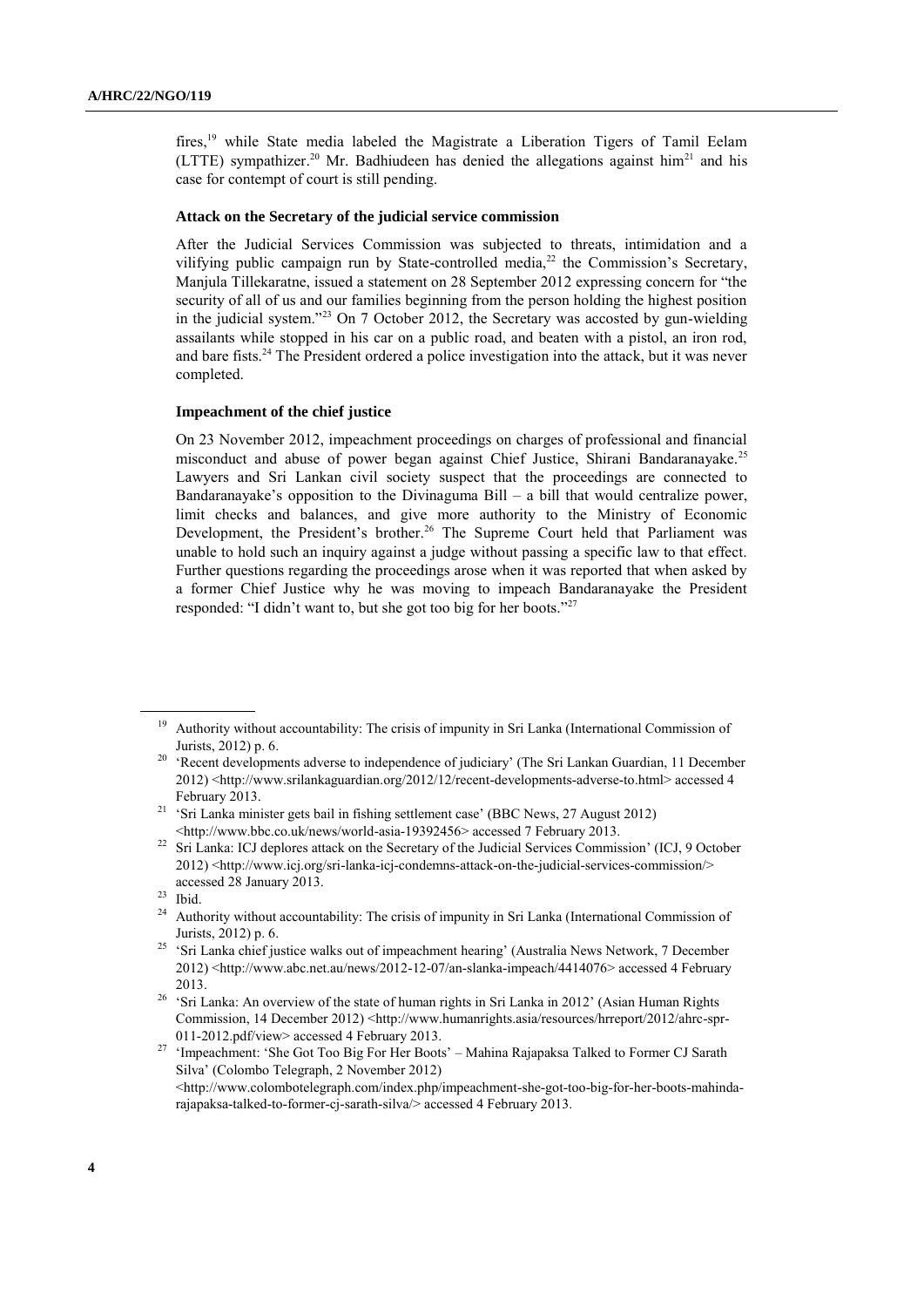fires, <sup>19</sup> while State media labeled the Magistrate a Liberation Tigers of Tamil Eelam (LTTE) sympathizer.<sup>20</sup> Mr. Badhiudeen has denied the allegations against him<sup>21</sup> and his case for contempt of court is still pending.

## **Attack on the Secretary of the judicial service commission**

After the Judicial Services Commission was subjected to threats, intimidation and a vilifying public campaign run by State-controlled media,<sup>22</sup> the Commission's Secretary, Manjula Tillekaratne, issued a statement on 28 September 2012 expressing concern for "the security of all of us and our families beginning from the person holding the highest position in the judicial system."<sup>23</sup> On 7 October 2012, the Secretary was accosted by gun-wielding assailants while stopped in his car on a public road, and beaten with a pistol, an iron rod, and bare fists.<sup>24</sup> The President ordered a police investigation into the attack, but it was never completed.

#### **Impeachment of the chief justice**

On 23 November 2012, impeachment proceedings on charges of professional and financial misconduct and abuse of power began against Chief Justice, Shirani Bandaranayake.<sup>25</sup> Lawyers and Sri Lankan civil society suspect that the proceedings are connected to Bandaranayake's opposition to the Divinaguma Bill – a bill that would centralize power, limit checks and balances, and give more authority to the Ministry of Economic Development, the President's brother.<sup>26</sup> The Supreme Court held that Parliament was unable to hold such an inquiry against a judge without passing a specific law to that effect. Further questions regarding the proceedings arose when it was reported that when asked by a former Chief Justice why he was moving to impeach Bandaranayake the President responded: "I didn"t want to, but she got too big for her boots."<sup>27</sup>

<sup>27</sup> 'Impeachment: 'She Got Too Big For Her Boots' – Mahina Rajapaksa Talked to Former CJ Sarath Silva" (Colombo Telegraph, 2 November 2012)  $\lt$ http://www.colombotelegraph.com/index.php/impeachment-she-got-too-big-for-her-boots-mahinda[rajapaksa-talked-to-former-cj-sarath-silva/>](http://www.colombotelegraph.com/index.php/impeachment-she-got-too-big-for-her-boots-mahinda-rajapaksa-talked-to-former-cj-sarath-silva/) accessed 4 February 2013.

<sup>&</sup>lt;sup>19</sup> Authority without accountability: The crisis of impunity in Sri Lanka (International Commission of Jurists, 2012) p. 6.

<sup>&</sup>lt;sup>20</sup> 'Recent developments adverse to independence of judiciary' (The Sri Lankan Guardian, 11 December 2012) [<http://www.srilankaguardian.org/2012/12/recent-developments-adverse-to.html>](http://www.srilankaguardian.org/2012/12/recent-developments-adverse-to.html) accessed 4 February 2013.

<sup>&</sup>lt;sup>21</sup> 'Sri Lanka minister gets bail in fishing settlement case' (BBC News, 27 August 2012) [<http://www.bbc.co.uk/news/world-asia-19392456>](http://www.bbc.co.uk/news/world-asia-19392456) accessed 7 February 2013.

<sup>&</sup>lt;sup>22</sup> Sri Lanka: ICJ deplores attack on the Secretary of the Judicial Services Commission' (ICJ, 9 October 2012) [<http://www.icj.org/sri-lanka-icj-condemns-attack-on-the-judicial-services-commission/>](http://www.icj.org/sri-lanka-icj-condemns-attack-on-the-judicial-services-commission/) accessed 28 January 2013.

 $\frac{23}{24}$  Ibid.

<sup>24</sup> Authority without accountability: The crisis of impunity in Sri Lanka (International Commission of Jurists, 2012) p. 6.

<sup>&</sup>lt;sup>25</sup> 'Sri Lanka chief justice walks out of impeachment hearing' (Australia News Network, 7 December 2012) [<http://www.abc.net.au/news/2012-12-07/an-slanka-impeach/4414076>](http://www.abc.net.au/news/2012-12-07/an-slanka-impeach/4414076) accessed 4 February 2013.

<sup>&</sup>lt;sup>26</sup> 'Sri Lanka: An overview of the state of human rights in Sri Lanka in 2012' (Asian Human Rights Commission, 14 December 2012) [<http://www.humanrights.asia/resources/hrreport/2012/ahrc-spr-](http://www.humanrights.asia/resources/hrreport/2012/ahrc-spr-011-2012.pdf/view)[011-2012.pdf/view>](http://www.humanrights.asia/resources/hrreport/2012/ahrc-spr-011-2012.pdf/view) accessed 4 February 2013.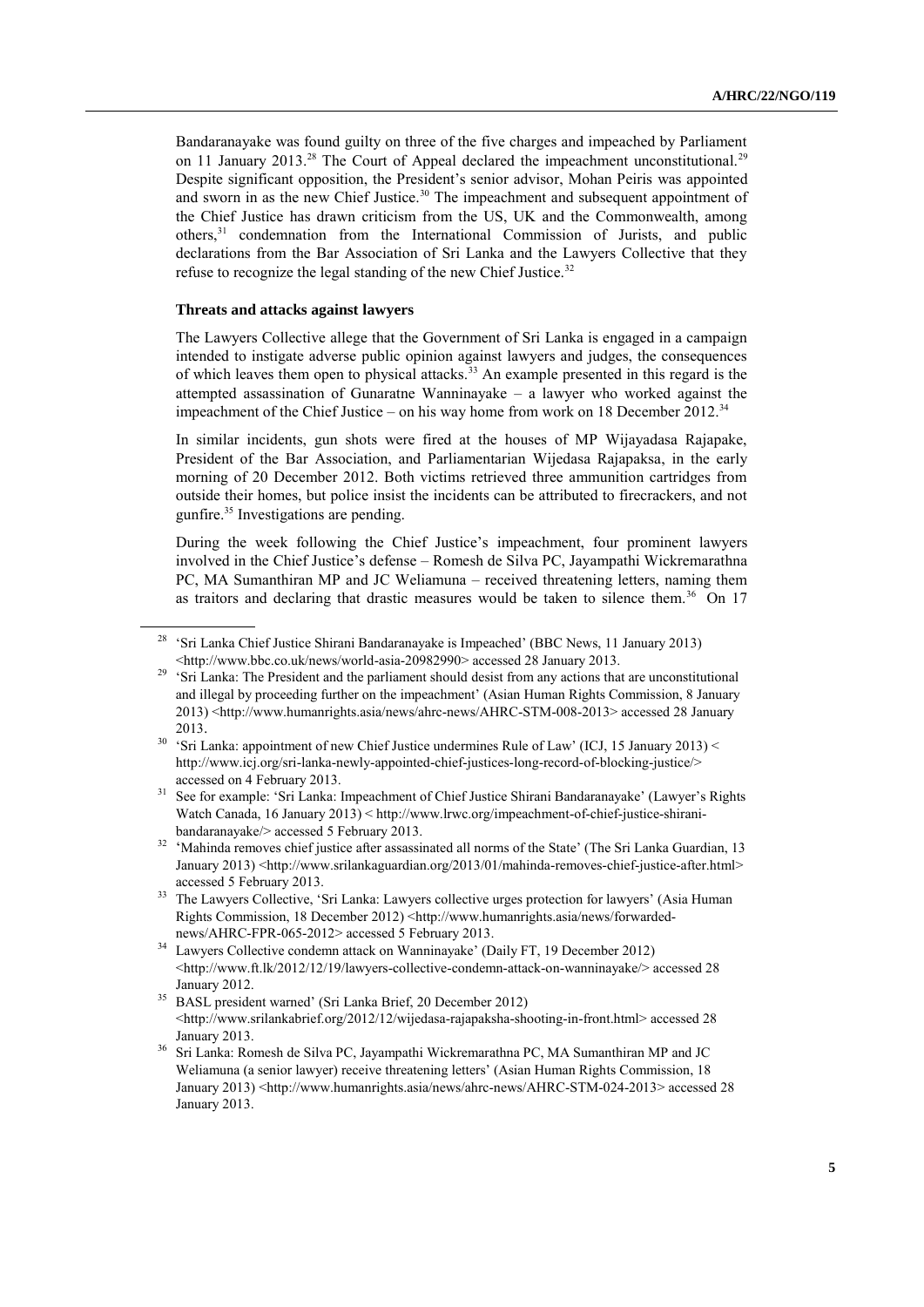Bandaranayake was found guilty on three of the five charges and impeached by Parliament on 11 January 2013.<sup>28</sup> The Court of Appeal declared the impeachment unconstitutional.<sup>29</sup> Despite significant opposition, the President's senior advisor, Mohan Peiris was appointed and sworn in as the new Chief Justice.<sup>30</sup> The impeachment and subsequent appointment of the Chief Justice has drawn criticism from the US, UK and the Commonwealth, among others,<sup>31</sup> condemnation from the International Commission of Jurists, and public declarations from the Bar Association of Sri Lanka and the Lawyers Collective that they refuse to recognize the legal standing of the new Chief Justice.<sup>32</sup>

## **Threats and attacks against lawyers**

The Lawyers Collective allege that the Government of Sri Lanka is engaged in a campaign intended to instigate adverse public opinion against lawyers and judges, the consequences of which leaves them open to physical attacks.<sup>33</sup> An example presented in this regard is the attempted assassination of Gunaratne Wanninayake  $-$  a lawyer who worked against the impeachment of the Chief Justice – on his way home from work on 18 December 2012.<sup>34</sup>

In similar incidents, gun shots were fired at the houses of MP Wijayadasa Rajapake, President of the Bar Association, and Parliamentarian Wijedasa Rajapaksa, in the early morning of 20 December 2012. Both victims retrieved three ammunition cartridges from outside their homes, but police insist the incidents can be attributed to firecrackers, and not gunfire.<sup>35</sup> Investigations are pending.

During the week following the Chief Justice"s impeachment, four prominent lawyers involved in the Chief Justice"s defense – Romesh de Silva PC, Jayampathi Wickremarathna PC, MA Sumanthiran MP and JC Weliamuna – received threatening letters, naming them as traitors and declaring that drastic measures would be taken to silence them.<sup>36</sup> On 17

<sup>&</sup>lt;sup>28</sup> 'Sri Lanka Chief Justice Shirani Bandaranayake is Impeached' (BBC News, 11 January 2013) [<http://www.bbc.co.uk/news/world-asia-20982990>](http://www.bbc.co.uk/news/world-asia-20982990) accessed 28 January 2013.

<sup>&</sup>lt;sup>29</sup> 'Sri Lanka: The President and the parliament should desist from any actions that are unconstitutional and illegal by proceeding further on the impeachment" (Asian Human Rights Commission, 8 January 2013) [<http://www.humanrights.asia/news/ahrc-news/AHRC-STM-008-2013>](http://www.humanrights.asia/news/ahrc-news/AHRC-STM-008-2013) accessed 28 January 2013.

<sup>&</sup>lt;sup>30</sup> 'Sri Lanka: appointment of new Chief Justice undermines Rule of Law' (ICJ, 15 January 2013) < [http://www.icj.org/sri-lanka-newly-appointed-chief-justices-long-record-of-blocking-justice/>](http://www.icj.org/sri-lanka-newly-appointed-chief-justices-long-record-of-blocking-justice/) accessed on 4 February 2013.

See for example: 'Sri Lanka: Impeachment of Chief Justice Shirani Bandaranayake' (Lawyer's Rights Watch Canada, 16 January 2013) [< http://www.lrwc.org/impeachment-of-chief-justice-shirani](http://www.lrwc.org/impeachment-of-chief-justice-shirani-bandaranayake/)[bandaranayake/>](http://www.lrwc.org/impeachment-of-chief-justice-shirani-bandaranayake/) accessed 5 February 2013.

<sup>&</sup>lt;sup>32</sup> 'Mahinda removes chief justice after assassinated all norms of the State' (The Sri Lanka Guardian, 13 January 2013) [<http://www.srilankaguardian.org/2013/01/mahinda-removes-chief-justice-after.html>](http://www.srilankaguardian.org/2013/01/mahinda-removes-chief-justice-after.html) accessed 5 February 2013.

<sup>&</sup>lt;sup>33</sup> The Lawyers Collective, 'Sri Lanka: Lawyers collective urges protection for lawyers' (Asia Human Rights Commission, 18 December 2012) [<http://www.humanrights.asia/news/forwarded](http://www.humanrights.asia/news/forwarded-news/AHRC-FPR-065-2012)[news/AHRC-FPR-065-2012>](http://www.humanrights.asia/news/forwarded-news/AHRC-FPR-065-2012) accessed 5 February 2013.

<sup>&</sup>lt;sup>34</sup> Lawyers Collective condemn attack on Wanninayake' (Daily FT, 19 December 2012) [<http://www.ft.lk/2012/12/19/lawyers-collective-condemn-attack-on-wanninayake/>](http://www.ft.lk/2012/12/19/lawyers-collective-condemn-attack-on-wanninayake/) accessed 28 January 2012.

<sup>&</sup>lt;sup>35</sup> BASL president warned' (Sri Lanka Brief, 20 December 2012) [<http://www.srilankabrief.org/2012/12/wijedasa-rajapaksha-shooting-in-front.html>](http://www.srilankabrief.org/2012/12/wijedasa-rajapaksha-shooting-in-front.html) accessed 28 January 2013.

<sup>&</sup>lt;sup>36</sup> Sri Lanka: Romesh de Silva PC, Jayampathi Wickremarathna PC, MA Sumanthiran MP and JC Weliamuna (a senior lawyer) receive threatening letters" (Asian Human Rights Commission, 18 January 2013) [<http://www.humanrights.asia/news/ahrc-news/AHRC-STM-024-2013>](http://www.humanrights.asia/news/ahrc-news/AHRC-STM-024-2013) accessed 28 January 2013.